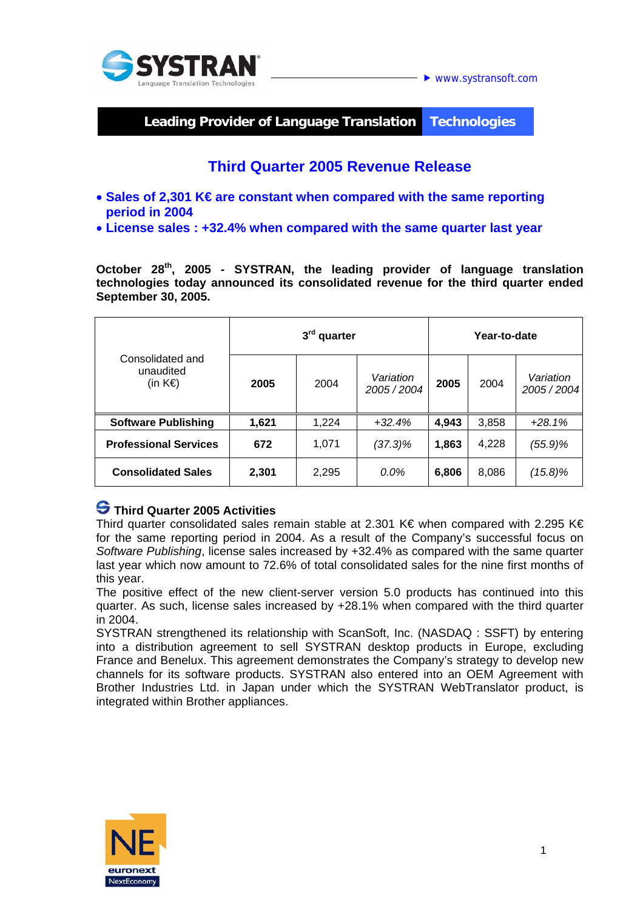

## **Leading Provider of Language Translation Technologies**

# **Third Quarter 2005 Revenue Release**

- **Sales of 2,301 K€ are constant when compared with the same reporting period in 2004**
- **License sales : +32.4% when compared with the same quarter last year**

**October 28th, 2005 - SYSTRAN, the leading provider of language translation technologies today announced its consolidated revenue for the third quarter ended September 30, 2005.** 

| Consolidated and<br>unaudited<br>(in $K \in \mathbb{R}$ ) | 3 <sup>rd</sup> quarter |       |                        | Year-to-date |       |                        |
|-----------------------------------------------------------|-------------------------|-------|------------------------|--------------|-------|------------------------|
|                                                           | 2005                    | 2004  | Variation<br>2005/2004 | 2005         | 2004  | Variation<br>2005/2004 |
| <b>Software Publishing</b>                                | 1,621                   | 1,224 | $+32.4%$               | 4,943        | 3,858 | $+28.1%$               |
| <b>Professional Services</b>                              | 672                     | 1,071 | $(37.3)\%$             | 1,863        | 4,228 | (55.9)%                |
| <b>Consolidated Sales</b>                                 | 2,301                   | 2,295 | $0.0\%$                | 6,806        | 8,086 | $(15.8)\%$             |

### **Third Quarter 2005 Activities**

Third quarter consolidated sales remain stable at 2.301 K€ when compared with 2.295 K€ for the same reporting period in 2004. As a result of the Company's successful focus on *Software Publishing*, license sales increased by +32.4% as compared with the same quarter last year which now amount to 72.6% of total consolidated sales for the nine first months of this year.

The positive effect of the new client-server version 5.0 products has continued into this quarter. As such, license sales increased by +28.1% when compared with the third quarter in 2004.

SYSTRAN strengthened its relationship with ScanSoft, Inc. (NASDAQ : SSFT) by entering into a distribution agreement to sell SYSTRAN desktop products in Europe, excluding France and Benelux. This agreement demonstrates the Company's strategy to develop new channels for its software products. SYSTRAN also entered into an OEM Agreement with Brother Industries Ltd. in Japan under which the SYSTRAN WebTranslator product, is integrated within Brother appliances.